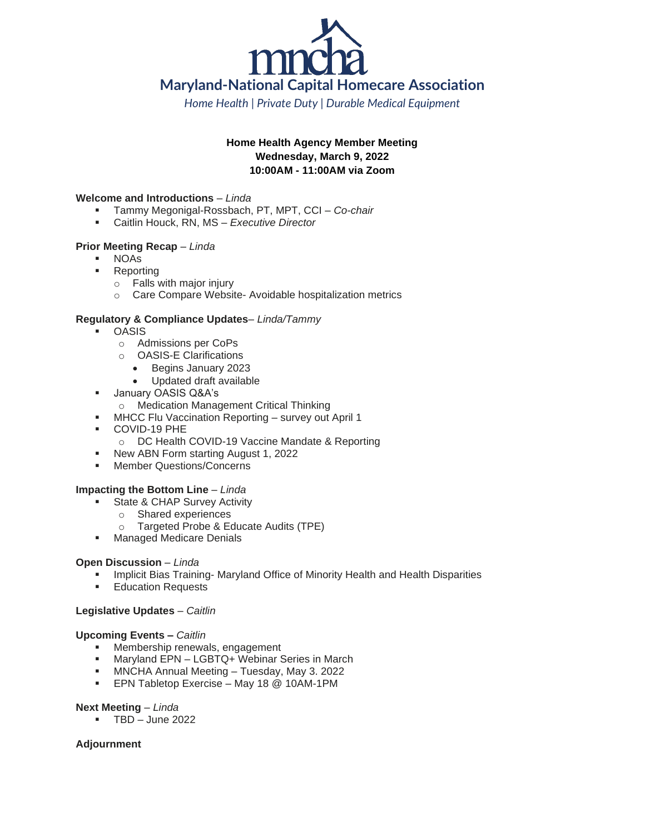

*Home Health | Private Duty | Durable Medical Equipment*

# **Home Health Agency Member Meeting Wednesday, March 9, 2022 10:00AM - 11:00AM via Zoom**

#### **Welcome and Introductions** – *Linda*

- Tammy Megonigal-Rossbach, PT, MPT, CCI *Co-chair*
- Caitlin Houck, RN, MS *Executive Director*

## **Prior Meeting Recap** – *Linda*

- **NOAs**
- **Reporting** 
	- o Falls with major injury
	- o Care Compare Website- Avoidable hospitalization metrics

## **Regulatory & Compliance Updates**– *Linda/Tammy*

- **OASIS** 
	- o Admissions per CoPs
	- o OASIS-E Clarifications
		- Begins January 2023
		- Updated draft available
- January OASIS Q&A's
	- o Medication Management Critical Thinking
	- **MHCC Flu Vaccination Reporting survey out April 1**
- COVID-19 PHE
	- o DC Health COVID-19 Vaccine Mandate & Reporting
- New ABN Form starting August 1, 2022
- Member Questions/Concerns

#### **Impacting the Bottom Line** – *Linda*

- State & CHAP Survey Activity
	- o Shared experiences
	- o Targeted Probe & Educate Audits (TPE)
- **■** Managed Medicare Denials

#### **Open Discussion** – *Linda*

- Implicit Bias Training- Maryland Office of Minority Health and Health Disparities
- **Education Requests**

#### **Legislative Updates** – *Caitlin*

#### **Upcoming Events –** *Caitlin*

- Membership renewals, engagement
- Maryland EPN LGBTQ+ Webinar Series in March
- MNCHA Annual Meeting Tuesday, May 3. 2022
- EPN Tabletop Exercise May 18 @ 10AM-1PM

#### **Next Meeting** – *Linda*

 $TBD - June 2022$ 

# **Adjournment**